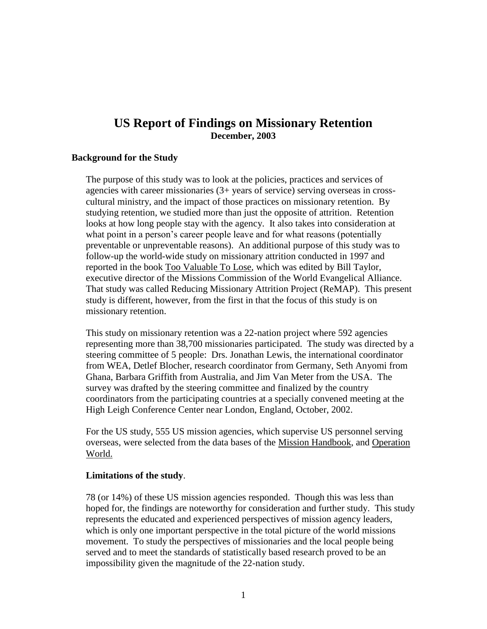# **US Report of Findings on Missionary Retention December, 2003**

#### **Background for the Study**

The purpose of this study was to look at the policies, practices and services of agencies with career missionaries (3+ years of service) serving overseas in crosscultural ministry, and the impact of those practices on missionary retention. By studying retention, we studied more than just the opposite of attrition. Retention looks at how long people stay with the agency. It also takes into consideration at what point in a person's career people leave and for what reasons (potentially preventable or unpreventable reasons). An additional purpose of this study was to follow-up the world-wide study on missionary attrition conducted in 1997 and reported in the book Too Valuable To Lose, which was edited by Bill Taylor, executive director of the Missions Commission of the World Evangelical Alliance. That study was called Reducing Missionary Attrition Project (ReMAP). This present study is different, however, from the first in that the focus of this study is on missionary retention.

This study on missionary retention was a 22-nation project where 592 agencies representing more than 38,700 missionaries participated. The study was directed by a steering committee of 5 people: Drs. Jonathan Lewis, the international coordinator from WEA, Detlef Blocher, research coordinator from Germany, Seth Anyomi from Ghana, Barbara Griffith from Australia, and Jim Van Meter from the USA. The survey was drafted by the steering committee and finalized by the country coordinators from the participating countries at a specially convened meeting at the High Leigh Conference Center near London, England, October, 2002.

For the US study, 555 US mission agencies, which supervise US personnel serving overseas, were selected from the data bases of the Mission Handbook, and Operation World.

#### **Limitations of the study**.

78 (or 14%) of these US mission agencies responded. Though this was less than hoped for, the findings are noteworthy for consideration and further study. This study represents the educated and experienced perspectives of mission agency leaders, which is only one important perspective in the total picture of the world missions movement. To study the perspectives of missionaries and the local people being served and to meet the standards of statistically based research proved to be an impossibility given the magnitude of the 22-nation study.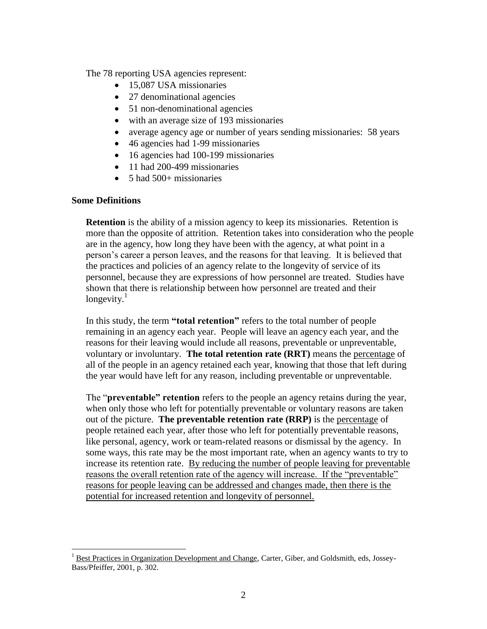The 78 reporting USA agencies represent:

- 15,087 USA missionaries
- 27 denominational agencies
- 51 non-denominational agencies
- with an average size of 193 missionaries
- average agency age or number of years sending missionaries: 58 years
- 46 agencies had 1-99 missionaries
- 16 agencies had 100-199 missionaries
- 11 had 200-499 missionaries
- 5 had 500+ missionaries

#### **Some Definitions**

 $\overline{a}$ 

**Retention** is the ability of a mission agency to keep its missionaries. Retention is more than the opposite of attrition. Retention takes into consideration who the people are in the agency, how long they have been with the agency, at what point in a person's career a person leaves, and the reasons for that leaving. It is believed that the practices and policies of an agency relate to the longevity of service of its personnel, because they are expressions of how personnel are treated. Studies have shown that there is relationship between how personnel are treated and their longevity. $<sup>1</sup>$ </sup>

In this study, the term **"total retention"** refers to the total number of people remaining in an agency each year. People will leave an agency each year, and the reasons for their leaving would include all reasons, preventable or unpreventable, voluntary or involuntary. **The total retention rate (RRT)** means the percentage of all of the people in an agency retained each year, knowing that those that left during the year would have left for any reason, including preventable or unpreventable.

The "**preventable" retention** refers to the people an agency retains during the year, when only those who left for potentially preventable or voluntary reasons are taken out of the picture. **The preventable retention rate (RRP)** is the percentage of people retained each year, after those who left for potentially preventable reasons, like personal, agency, work or team-related reasons or dismissal by the agency. In some ways, this rate may be the most important rate, when an agency wants to try to increase its retention rate. By reducing the number of people leaving for preventable reasons the overall retention rate of the agency will increase. If the "preventable" reasons for people leaving can be addressed and changes made, then there is the potential for increased retention and longevity of personnel.

<sup>&</sup>lt;sup>1</sup> Best Practices in Organization Development and Change, Carter, Giber, and Goldsmith, eds, Jossey-Bass/Pfeiffer, 2001, p. 302.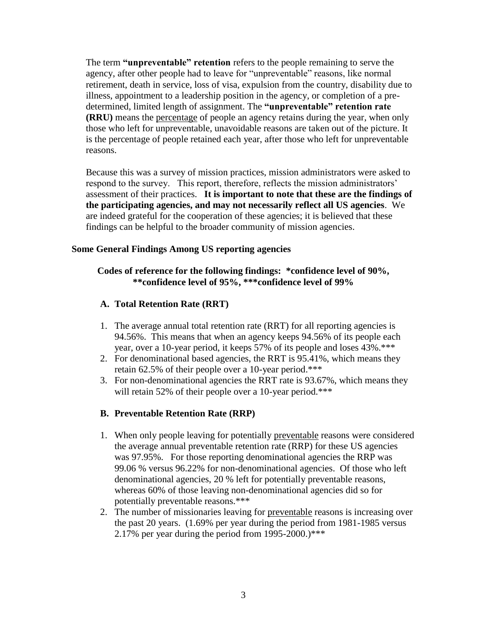The term **"unpreventable" retention** refers to the people remaining to serve the agency, after other people had to leave for "unpreventable" reasons, like normal retirement, death in service, loss of visa, expulsion from the country, disability due to illness, appointment to a leadership position in the agency, or completion of a predetermined, limited length of assignment. The **"unpreventable" retention rate (RRU)** means the percentage of people an agency retains during the year, when only those who left for unpreventable, unavoidable reasons are taken out of the picture. It is the percentage of people retained each year, after those who left for unpreventable reasons.

Because this was a survey of mission practices, mission administrators were asked to respond to the survey. This report, therefore, reflects the mission administrators' assessment of their practices. **It is important to note that these are the findings of the participating agencies, and may not necessarily reflect all US agencies**. We are indeed grateful for the cooperation of these agencies; it is believed that these findings can be helpful to the broader community of mission agencies.

#### **Some General Findings Among US reporting agencies**

### **Codes of reference for the following findings: \*confidence level of 90%, \*\*confidence level of 95%, \*\*\*confidence level of 99%**

#### **A. Total Retention Rate (RRT)**

- 1. The average annual total retention rate (RRT) for all reporting agencies is 94.56%. This means that when an agency keeps 94.56% of its people each year, over a 10-year period, it keeps 57% of its people and loses 43%.\*\*\*
- 2. For denominational based agencies, the RRT is 95.41%, which means they retain 62.5% of their people over a 10-year period.\*\*\*
- 3. For non-denominational agencies the RRT rate is 93.67%, which means they will retain 52% of their people over a 10-year period.\*\*\*

### **B. Preventable Retention Rate (RRP)**

- 1. When only people leaving for potentially preventable reasons were considered the average annual preventable retention rate (RRP) for these US agencies was 97.95%. For those reporting denominational agencies the RRP was 99.06 % versus 96.22% for non-denominational agencies. Of those who left denominational agencies, 20 % left for potentially preventable reasons, whereas 60% of those leaving non-denominational agencies did so for potentially preventable reasons.\*\*\*
- 2. The number of missionaries leaving for preventable reasons is increasing over the past 20 years. (1.69% per year during the period from 1981-1985 versus 2.17% per year during the period from  $1995-2000$ .)\*\*\*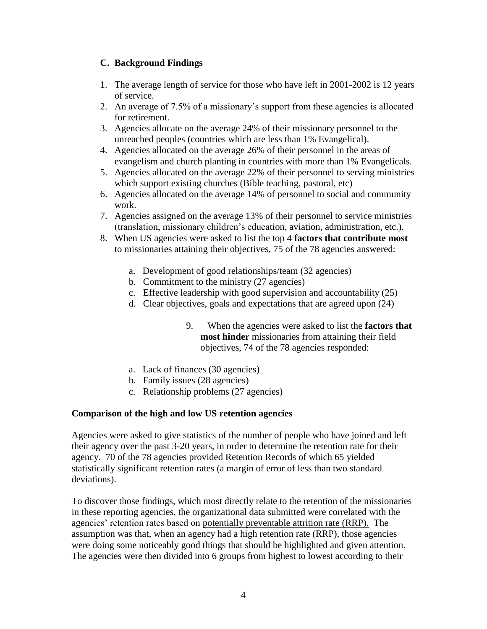### **C. Background Findings**

- 1. The average length of service for those who have left in 2001-2002 is 12 years of service.
- 2. An average of 7.5% of a missionary's support from these agencies is allocated for retirement.
- 3. Agencies allocate on the average 24% of their missionary personnel to the unreached peoples (countries which are less than 1% Evangelical).
- 4. Agencies allocated on the average 26% of their personnel in the areas of evangelism and church planting in countries with more than 1% Evangelicals.
- 5. Agencies allocated on the average 22% of their personnel to serving ministries which support existing churches (Bible teaching, pastoral, etc)
- 6. Agencies allocated on the average 14% of personnel to social and community work.
- 7. Agencies assigned on the average 13% of their personnel to service ministries (translation, missionary children's education, aviation, administration, etc.).
- 8. When US agencies were asked to list the top 4 **factors that contribute most** to missionaries attaining their objectives, 75 of the 78 agencies answered:
	- a. Development of good relationships/team (32 agencies)
	- b. Commitment to the ministry (27 agencies)
	- c. Effective leadership with good supervision and accountability (25)
	- d. Clear objectives, goals and expectations that are agreed upon (24)
		- 9. When the agencies were asked to list the **factors that most hinder** missionaries from attaining their field objectives, 74 of the 78 agencies responded:
	- a. Lack of finances (30 agencies)
	- b. Family issues (28 agencies)
	- c. Relationship problems (27 agencies)

#### **Comparison of the high and low US retention agencies**

Agencies were asked to give statistics of the number of people who have joined and left their agency over the past 3-20 years, in order to determine the retention rate for their agency. 70 of the 78 agencies provided Retention Records of which 65 yielded statistically significant retention rates (a margin of error of less than two standard deviations).

To discover those findings, which most directly relate to the retention of the missionaries in these reporting agencies, the organizational data submitted were correlated with the agencies' retention rates based on potentially preventable attrition rate (RRP). The assumption was that, when an agency had a high retention rate (RRP), those agencies were doing some noticeably good things that should be highlighted and given attention. The agencies were then divided into 6 groups from highest to lowest according to their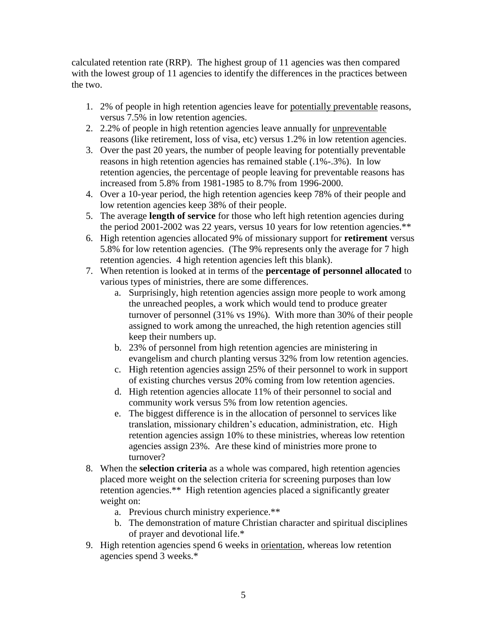calculated retention rate (RRP). The highest group of 11 agencies was then compared with the lowest group of 11 agencies to identify the differences in the practices between the two.

- 1. 2% of people in high retention agencies leave for potentially preventable reasons, versus 7.5% in low retention agencies.
- 2. 2.2% of people in high retention agencies leave annually for unpreventable reasons (like retirement, loss of visa, etc) versus 1.2% in low retention agencies.
- 3. Over the past 20 years, the number of people leaving for potentially preventable reasons in high retention agencies has remained stable (.1%-.3%). In low retention agencies, the percentage of people leaving for preventable reasons has increased from 5.8% from 1981-1985 to 8.7% from 1996-2000.
- 4. Over a 10-year period, the high retention agencies keep 78% of their people and low retention agencies keep 38% of their people.
- 5. The average **length of service** for those who left high retention agencies during the period 2001-2002 was 22 years, versus 10 years for low retention agencies.\*\*
- 6. High retention agencies allocated 9% of missionary support for **retirement** versus 5.8% for low retention agencies. (The 9% represents only the average for 7 high retention agencies. 4 high retention agencies left this blank).
- 7. When retention is looked at in terms of the **percentage of personnel allocated** to various types of ministries, there are some differences.
	- a. Surprisingly, high retention agencies assign more people to work among the unreached peoples, a work which would tend to produce greater turnover of personnel (31% vs 19%). With more than 30% of their people assigned to work among the unreached, the high retention agencies still keep their numbers up.
	- b. 23% of personnel from high retention agencies are ministering in evangelism and church planting versus 32% from low retention agencies.
	- c. High retention agencies assign 25% of their personnel to work in support of existing churches versus 20% coming from low retention agencies.
	- d. High retention agencies allocate 11% of their personnel to social and community work versus 5% from low retention agencies.
	- e. The biggest difference is in the allocation of personnel to services like translation, missionary children's education, administration, etc. High retention agencies assign 10% to these ministries, whereas low retention agencies assign 23%. Are these kind of ministries more prone to turnover?
- 8. When the **selection criteria** as a whole was compared, high retention agencies placed more weight on the selection criteria for screening purposes than low retention agencies.\*\* High retention agencies placed a significantly greater weight on:
	- a. Previous church ministry experience.\*\*
	- b. The demonstration of mature Christian character and spiritual disciplines of prayer and devotional life.\*
- 9. High retention agencies spend 6 weeks in orientation, whereas low retention agencies spend 3 weeks.\*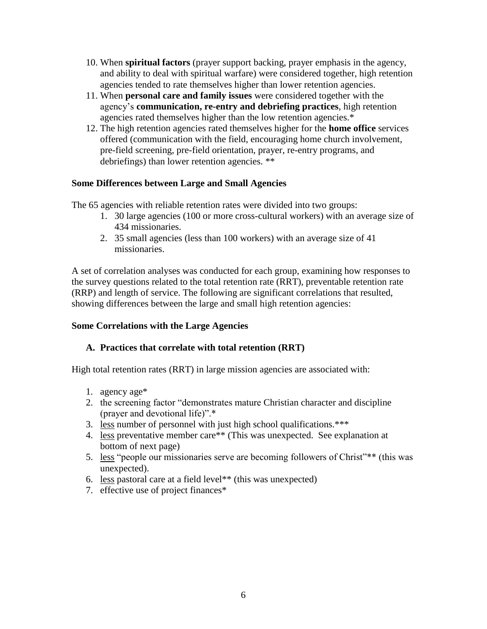- 10. When **spiritual factors** (prayer support backing, prayer emphasis in the agency, and ability to deal with spiritual warfare) were considered together, high retention agencies tended to rate themselves higher than lower retention agencies.
- 11. When **personal care and family issues** were considered together with the agency's **communication, re-entry and debriefing practices**, high retention agencies rated themselves higher than the low retention agencies.\*
- 12. The high retention agencies rated themselves higher for the **home office** services offered (communication with the field, encouraging home church involvement, pre-field screening, pre-field orientation, prayer, re-entry programs, and debriefings) than lower retention agencies. \*\*

## **Some Differences between Large and Small Agencies**

The 65 agencies with reliable retention rates were divided into two groups:

- 1. 30 large agencies (100 or more cross-cultural workers) with an average size of 434 missionaries.
- 2. 35 small agencies (less than 100 workers) with an average size of 41 missionaries.

A set of correlation analyses was conducted for each group, examining how responses to the survey questions related to the total retention rate (RRT), preventable retention rate (RRP) and length of service. The following are significant correlations that resulted, showing differences between the large and small high retention agencies:

### **Some Correlations with the Large Agencies**

### **A. Practices that correlate with total retention (RRT)**

High total retention rates (RRT) in large mission agencies are associated with:

- 1. agency age\*
- 2. the screening factor "demonstrates mature Christian character and discipline (prayer and devotional life)".\*
- 3. less number of personnel with just high school qualifications.\*\*\*
- 4. less preventative member care\*\* (This was unexpected. See explanation at bottom of next page)
- 5. less "people our missionaries serve are becoming followers of Christ"\*\* (this was unexpected).
- 6. less pastoral care at a field level\*\* (this was unexpected)
- 7. effective use of project finances\*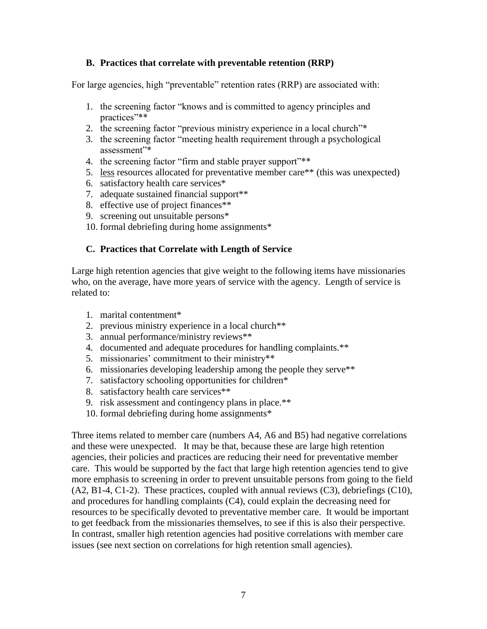### **B. Practices that correlate with preventable retention (RRP)**

For large agencies, high "preventable" retention rates (RRP) are associated with:

- 1. the screening factor "knows and is committed to agency principles and practices"\*\*
- 2. the screening factor "previous ministry experience in a local church"\*
- 3. the screening factor "meeting health requirement through a psychological assessment"\*
- 4. the screening factor "firm and stable prayer support"\*\*
- 5. less resources allocated for preventative member care\*\* (this was unexpected)
- 6. satisfactory health care services\*
- 7. adequate sustained financial support\*\*
- 8. effective use of project finances\*\*
- 9. screening out unsuitable persons\*
- 10. formal debriefing during home assignments\*

#### **C. Practices that Correlate with Length of Service**

Large high retention agencies that give weight to the following items have missionaries who, on the average, have more years of service with the agency. Length of service is related to:

- 1. marital contentment\*
- 2. previous ministry experience in a local church\*\*
- 3. annual performance/ministry reviews\*\*
- 4. documented and adequate procedures for handling complaints.\*\*
- 5. missionaries' commitment to their ministry\*\*
- 6. missionaries developing leadership among the people they serve\*\*
- 7. satisfactory schooling opportunities for children\*
- 8. satisfactory health care services\*\*
- 9. risk assessment and contingency plans in place.\*\*
- 10. formal debriefing during home assignments\*

Three items related to member care (numbers A4, A6 and B5) had negative correlations and these were unexpected. It may be that, because these are large high retention agencies, their policies and practices are reducing their need for preventative member care. This would be supported by the fact that large high retention agencies tend to give more emphasis to screening in order to prevent unsuitable persons from going to the field (A2, B1-4, C1-2). These practices, coupled with annual reviews (C3), debriefings (C10), and procedures for handling complaints (C4), could explain the decreasing need for resources to be specifically devoted to preventative member care. It would be important to get feedback from the missionaries themselves, to see if this is also their perspective. In contrast, smaller high retention agencies had positive correlations with member care issues (see next section on correlations for high retention small agencies).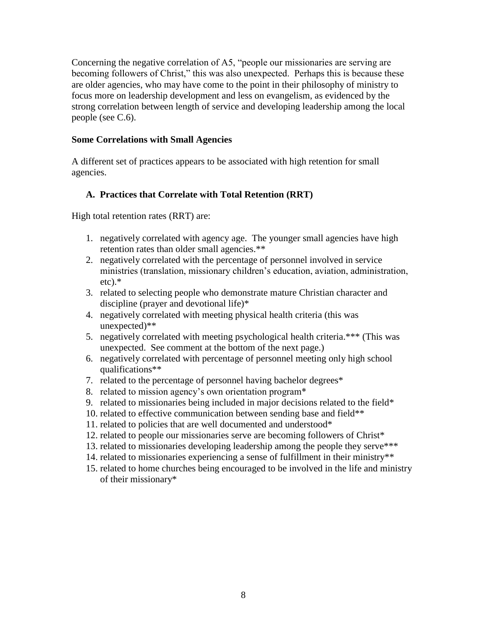Concerning the negative correlation of A5, "people our missionaries are serving are becoming followers of Christ," this was also unexpected. Perhaps this is because these are older agencies, who may have come to the point in their philosophy of ministry to focus more on leadership development and less on evangelism, as evidenced by the strong correlation between length of service and developing leadership among the local people (see C.6).

#### **Some Correlations with Small Agencies**

A different set of practices appears to be associated with high retention for small agencies.

## **A. Practices that Correlate with Total Retention (RRT)**

High total retention rates (RRT) are:

- 1. negatively correlated with agency age. The younger small agencies have high retention rates than older small agencies.\*\*
- 2. negatively correlated with the percentage of personnel involved in service ministries (translation, missionary children's education, aviation, administration, etc).\*
- 3. related to selecting people who demonstrate mature Christian character and discipline (prayer and devotional life)\*
- 4. negatively correlated with meeting physical health criteria (this was unexpected)\*\*
- 5. negatively correlated with meeting psychological health criteria.\*\*\* (This was unexpected. See comment at the bottom of the next page.)
- 6. negatively correlated with percentage of personnel meeting only high school qualifications\*\*
- 7. related to the percentage of personnel having bachelor degrees\*
- 8. related to mission agency's own orientation program\*
- 9. related to missionaries being included in major decisions related to the field\*
- 10. related to effective communication between sending base and field\*\*
- 11. related to policies that are well documented and understood\*
- 12. related to people our missionaries serve are becoming followers of Christ\*
- 13. related to missionaries developing leadership among the people they serve\*\*\*
- 14. related to missionaries experiencing a sense of fulfillment in their ministry\*\*
- 15. related to home churches being encouraged to be involved in the life and ministry of their missionary\*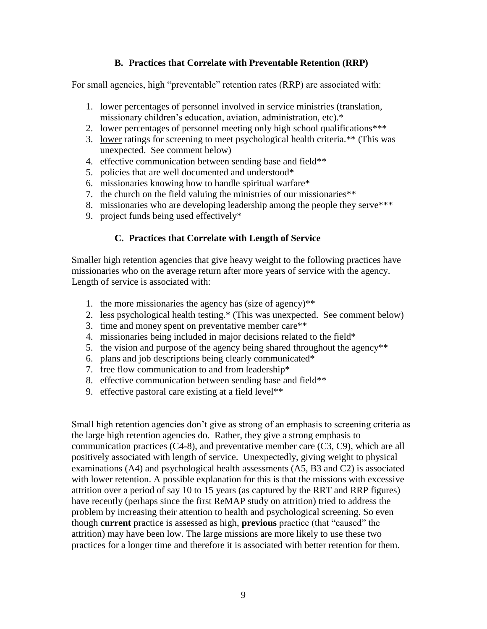### **B. Practices that Correlate with Preventable Retention (RRP)**

For small agencies, high "preventable" retention rates (RRP) are associated with:

- 1. lower percentages of personnel involved in service ministries (translation, missionary children's education, aviation, administration, etc).\*
- 2. lower percentages of personnel meeting only high school qualifications\*\*\*
- 3. lower ratings for screening to meet psychological health criteria.\*\* (This was unexpected. See comment below)
- 4. effective communication between sending base and field\*\*
- 5. policies that are well documented and understood\*
- 6. missionaries knowing how to handle spiritual warfare\*
- 7. the church on the field valuing the ministries of our missionaries\*\*
- 8. missionaries who are developing leadership among the people they serve\*\*\*
- 9. project funds being used effectively\*

### **C. Practices that Correlate with Length of Service**

Smaller high retention agencies that give heavy weight to the following practices have missionaries who on the average return after more years of service with the agency. Length of service is associated with:

- 1. the more missionaries the agency has (size of agency)\*\*
- 2. less psychological health testing.\* (This was unexpected. See comment below)
- 3. time and money spent on preventative member care\*\*
- 4. missionaries being included in major decisions related to the field\*
- 5. the vision and purpose of the agency being shared throughout the agency\*\*
- 6. plans and job descriptions being clearly communicated\*
- 7. free flow communication to and from leadership\*
- 8. effective communication between sending base and field\*\*
- 9. effective pastoral care existing at a field level\*\*

Small high retention agencies don't give as strong of an emphasis to screening criteria as the large high retention agencies do. Rather, they give a strong emphasis to communication practices (C4-8), and preventative member care (C3, C9), which are all positively associated with length of service. Unexpectedly, giving weight to physical examinations (A4) and psychological health assessments (A5, B3 and C2) is associated with lower retention. A possible explanation for this is that the missions with excessive attrition over a period of say 10 to 15 years (as captured by the RRT and RRP figures) have recently (perhaps since the first ReMAP study on attrition) tried to address the problem by increasing their attention to health and psychological screening. So even though **current** practice is assessed as high, **previous** practice (that "caused" the attrition) may have been low. The large missions are more likely to use these two practices for a longer time and therefore it is associated with better retention for them.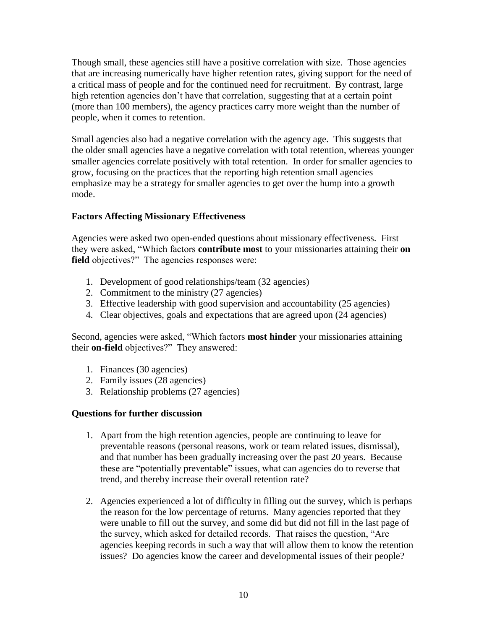Though small, these agencies still have a positive correlation with size. Those agencies that are increasing numerically have higher retention rates, giving support for the need of a critical mass of people and for the continued need for recruitment. By contrast, large high retention agencies don't have that correlation, suggesting that at a certain point (more than 100 members), the agency practices carry more weight than the number of people, when it comes to retention.

Small agencies also had a negative correlation with the agency age. This suggests that the older small agencies have a negative correlation with total retention, whereas younger smaller agencies correlate positively with total retention. In order for smaller agencies to grow, focusing on the practices that the reporting high retention small agencies emphasize may be a strategy for smaller agencies to get over the hump into a growth mode.

### **Factors Affecting Missionary Effectiveness**

Agencies were asked two open-ended questions about missionary effectiveness. First they were asked, "Which factors **contribute most** to your missionaries attaining their **on**  field objectives?" The agencies responses were:

- 1. Development of good relationships/team (32 agencies)
- 2. Commitment to the ministry (27 agencies)
- 3. Effective leadership with good supervision and accountability (25 agencies)
- 4. Clear objectives, goals and expectations that are agreed upon (24 agencies)

Second, agencies were asked, "Which factors **most hinder** your missionaries attaining their **on-field** objectives?" They answered:

- 1. Finances (30 agencies)
- 2. Family issues (28 agencies)
- 3. Relationship problems (27 agencies)

### **Questions for further discussion**

- 1. Apart from the high retention agencies, people are continuing to leave for preventable reasons (personal reasons, work or team related issues, dismissal), and that number has been gradually increasing over the past 20 years. Because these are "potentially preventable" issues, what can agencies do to reverse that trend, and thereby increase their overall retention rate?
- 2. Agencies experienced a lot of difficulty in filling out the survey, which is perhaps the reason for the low percentage of returns. Many agencies reported that they were unable to fill out the survey, and some did but did not fill in the last page of the survey, which asked for detailed records. That raises the question, "Are agencies keeping records in such a way that will allow them to know the retention issues? Do agencies know the career and developmental issues of their people?